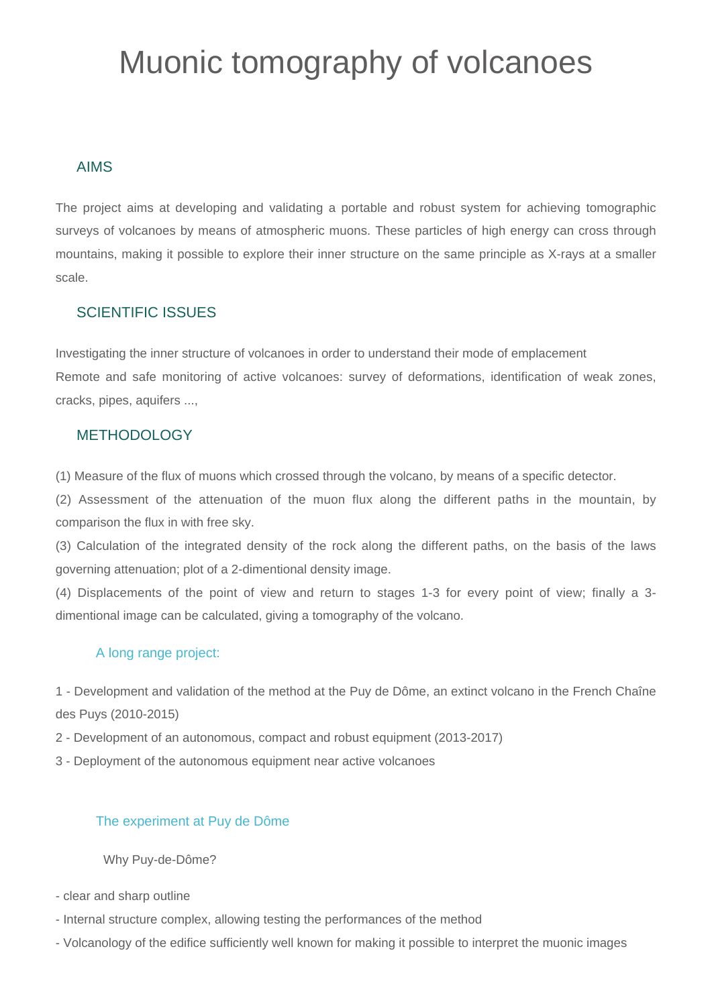# Muonic tomography of volcanoes

# AIMS

The project aims at developing and validating a portable and robust system for achieving tomographic surveys of volcanoes by means of atmospheric muons. These particles of high energy can cross through mountains, making it possible to explore their inner structure on the same principle as X-rays at a smaller scale.

# SCIENTIFIC ISSUES

Investigating the inner structure of volcanoes in order to understand their mode of emplacement Remote and safe monitoring of active volcanoes: survey of deformations, identification of weak zones, cracks, pipes, aquifers ...,

## METHODOLOGY

(1) Measure of the flux of muons which crossed through the volcano, by means of a specific detector.

(2) Assessment of the attenuation of the muon flux along the different paths in the mountain, by comparison the flux in with free sky.

(3) Calculation of the integrated density of the rock along the different paths, on the basis of the laws governing attenuation; plot of a 2-dimentional density image.

(4) Displacements of the point of view and return to stages 1-3 for every point of view; finally a 3 dimentional image can be calculated, giving a tomography of the volcano.

## A long range project:

1 - Development and validation of the method at the Puy de Dôme, an extinct volcano in the French Chaîne des Puys (2010-2015)

2 - Development of an autonomous, compact and robust equipment (2013-2017)

3 - Deployment of the autonomous equipment near active volcanoes

## The experiment at Puy de Dôme

Why Puy-de-Dôme?

- clear and sharp outline
- Internal structure complex, allowing testing the performances of the method
- Volcanology of the edifice sufficiently well known for making it possible to interpret the muonic images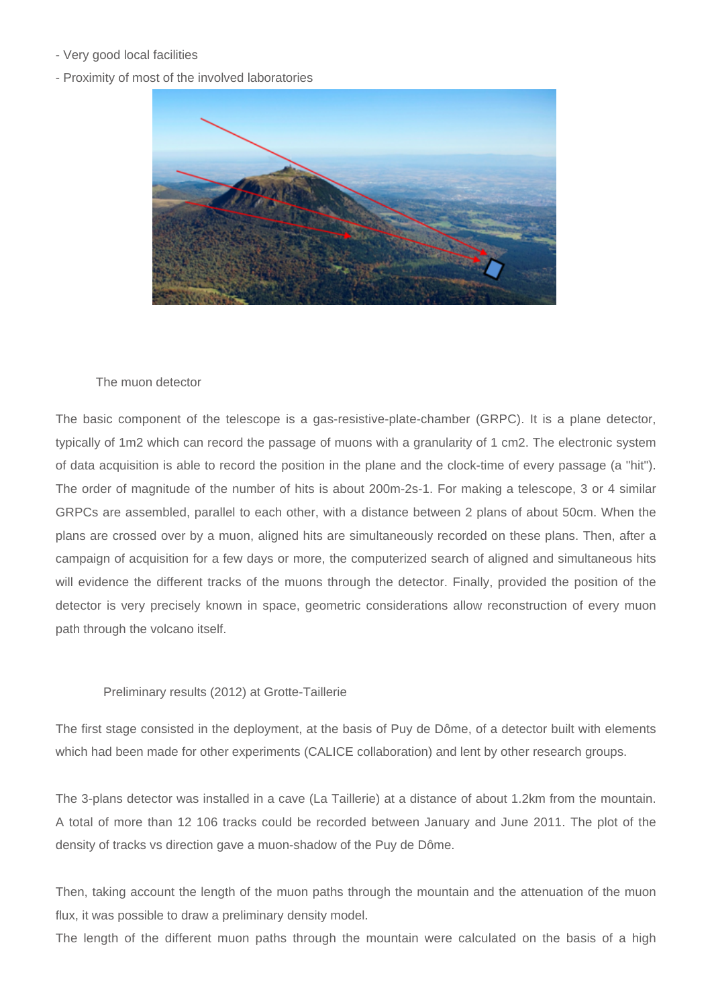- Very good local facilities
- Proximity of most of the involved laboratories



### The muon detector

The basic component of the telescope is a gas-resistive-plate-chamber (GRPC). It is a plane detector, typically of 1m2 which can record the passage of muons with a granularity of 1 cm2. The electronic system of data acquisition is able to record the position in the plane and the clock-time of every passage (a "hit"). The order of magnitude of the number of hits is about 200m-2s-1. For making a telescope, 3 or 4 similar GRPCs are assembled, parallel to each other, with a distance between 2 plans of about 50cm. When the plans are crossed over by a muon, aligned hits are simultaneously recorded on these plans. Then, after a campaign of acquisition for a few days or more, the computerized search of aligned and simultaneous hits will evidence the different tracks of the muons through the detector. Finally, provided the position of the detector is very precisely known in space, geometric considerations allow reconstruction of every muon path through the volcano itself.

### Preliminary results (2012) at Grotte-Taillerie

The first stage consisted in the deployment, at the basis of Puy de Dôme, of a detector built with elements which had been made for other experiments (CALICE collaboration) and lent by other research groups.

The 3-plans detector was installed in a cave (La Taillerie) at a distance of about 1.2km from the mountain. A total of more than 12 106 tracks could be recorded between January and June 2011. The plot of the density of tracks vs direction gave a muon-shadow of the Puy de Dôme.

Then, taking account the length of the muon paths through the mountain and the attenuation of the muon flux, it was possible to draw a preliminary density model.

The length of the different muon paths through the mountain were calculated on the basis of a high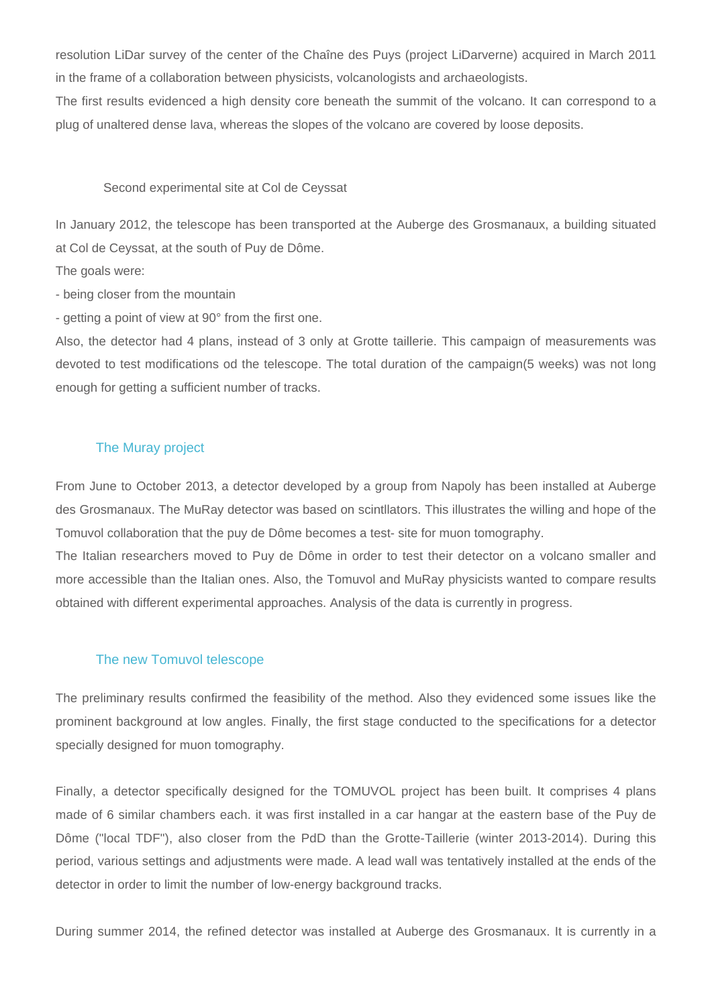resolution LiDar survey of the center of the Chaîne des Puys (project LiDarverne) acquired in March 2011 in the frame of a collaboration between physicists, volcanologists and archaeologists.

The first results evidenced a high density core beneath the summit of the volcano. It can correspond to a plug of unaltered dense lava, whereas the slopes of the volcano are covered by loose deposits.

#### Second experimental site at Col de Ceyssat

In January 2012, the telescope has been transported at the Auberge des Grosmanaux, a building situated at Col de Ceyssat, at the south of Puy de Dôme.

The goals were:

- being closer from the mountain

- getting a point of view at 90° from the first one.

Also, the detector had 4 plans, instead of 3 only at Grotte taillerie. This campaign of measurements was devoted to test modifications od the telescope. The total duration of the campaign(5 weeks) was not long enough for getting a sufficient number of tracks.

### The Muray project

From June to October 2013, a detector developed by a group from Napoly has been installed at Auberge des Grosmanaux. The MuRay detector was based on scintllators. This illustrates the willing and hope of the Tomuvol collaboration that the puy de Dôme becomes a test- site for muon tomography.

The Italian researchers moved to Puy de Dôme in order to test their detector on a volcano smaller and more accessible than the Italian ones. Also, the Tomuvol and MuRay physicists wanted to compare results obtained with different experimental approaches. Analysis of the data is currently in progress.

#### The new Tomuvol telescope

The preliminary results confirmed the feasibility of the method. Also they evidenced some issues like the prominent background at low angles. Finally, the first stage conducted to the specifications for a detector specially designed for muon tomography.

Finally, a detector specifically designed for the TOMUVOL project has been built. It comprises 4 plans made of 6 similar chambers each. it was first installed in a car hangar at the eastern base of the Puy de Dôme ("local TDF"), also closer from the PdD than the Grotte-Taillerie (winter 2013-2014). During this period, various settings and adjustments were made. A lead wall was tentatively installed at the ends of the detector in order to limit the number of low-energy background tracks.

During summer 2014, the refined detector was installed at Auberge des Grosmanaux. It is currently in a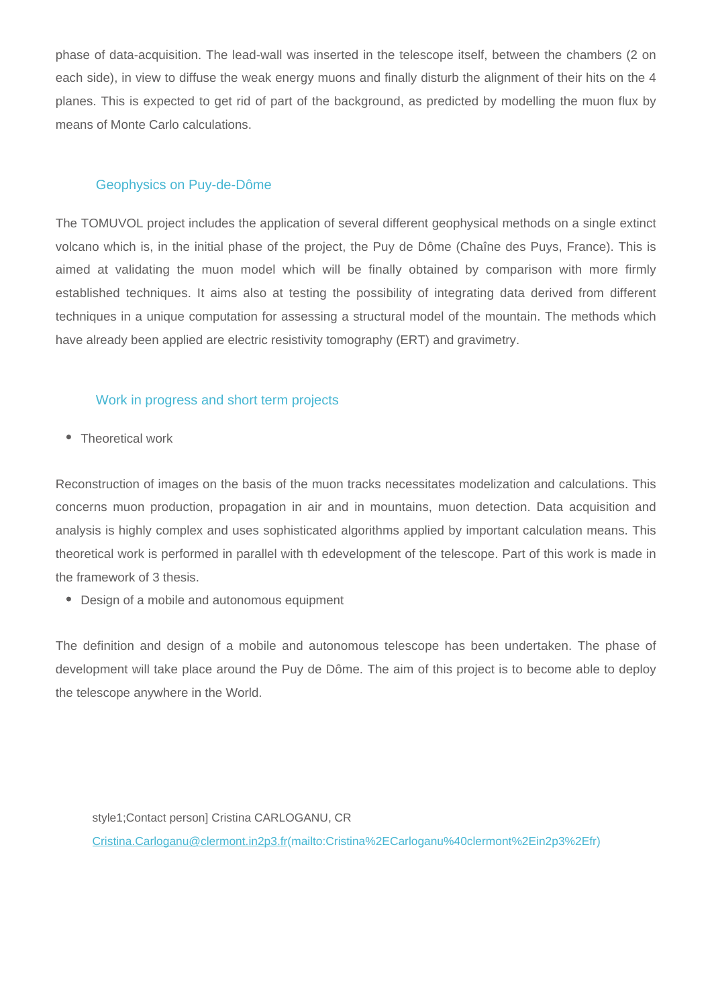phase of data-acquisition. The lead-wall was inserted in the telescope itself, between the chambers (2 on each side), in view to diffuse the weak energy muons and finally disturb the alignment of their hits on the 4 planes. This is expected to get rid of part of the background, as predicted by modelling the muon flux by means of Monte Carlo calculations.

## Geophysics on Puy-de-Dôme

The TOMUVOL project includes the application of several different geophysical methods on a single extinct volcano which is, in the initial phase of the project, the Puy de Dôme (Chaîne des Puys, France). This is aimed at validating the muon model which will be finally obtained by comparison with more firmly established techniques. It aims also at testing the possibility of integrating data derived from different techniques in a unique computation for assessing a structural model of the mountain. The methods which have already been applied are electric resistivity tomography (ERT) and gravimetry.

### Work in progress and short term projects

• Theoretical work

Reconstruction of images on the basis of the muon tracks necessitates modelization and calculations. This concerns muon production, propagation in air and in mountains, muon detection. Data acquisition and analysis is highly complex and uses sophisticated algorithms applied by important calculation means. This theoretical work is performed in parallel with th edevelopment of the telescope. Part of this work is made in the framework of 3 thesis.

Design of a mobile and autonomous equipment

The definition and design of a mobile and autonomous telescope has been undertaken. The phase of development will take place around the Puy de Dôme. The aim of this project is to become able to deploy the telescope anywhere in the World.

style1;Contact person] Cristina CARLOGANU, CR [Cristina.Carloganu@clermont.in2p3.fr\(mailto:Cristina%2ECarloganu%40clermont%2Ein2p3%2Efr\)](mailto:Cristina%2ECarloganu%40clermont%2Ein2p3%2Efr)